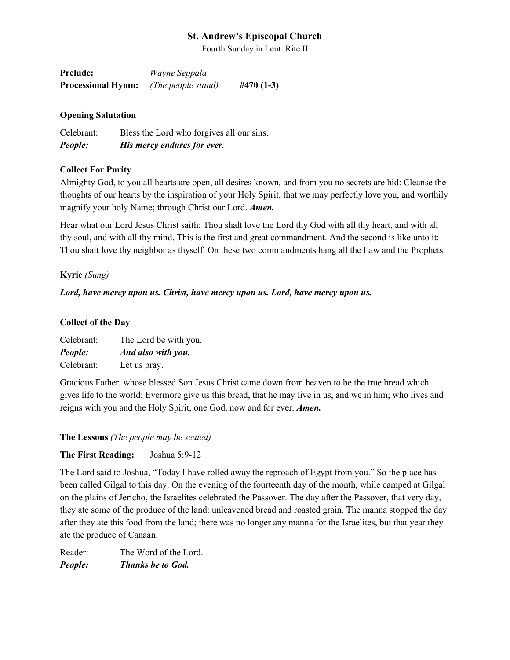Fourth Sunday in Lent: Rite II

| <b>Prelude:</b>           | <i>Wayne Seppala</i> |             |
|---------------------------|----------------------|-------------|
| <b>Processional Hymn:</b> | (The people stand)   | $#470(1-3)$ |

#### **Opening Salutation**

Celebrant: Bless the Lord who forgives all our sins. *People: His mercy endures for ever.*

#### **Collect For Purity**

Almighty God, to you all hearts are open, all desires known, and from you no secrets are hid: Cleanse the thoughts of our hearts by the inspiration of your Holy Spirit, that we may perfectly love you, and worthily magnify your holy Name; through Christ our Lord. *Amen.*

Hear what our Lord Jesus Christ saith: Thou shalt love the Lord thy God with all thy heart, and with all thy soul, and with all thy mind. This is the first and great commandment. And the second is like unto it: Thou shalt love thy neighbor as thyself. On these two commandments hang all the Law and the Prophets.

#### **Kyrie** *(Sung)*

#### *Lord, have mercy upon us. Christ, have mercy upon us. Lord, have mercy upon us.*

#### **Collect of the Day**

| Celebrant: | The Lord be with you. |
|------------|-----------------------|
| People:    | And also with you.    |
| Celebrant: | Let us pray.          |

Gracious Father, whose blessed Son Jesus Christ came down from heaven to be the true bread which gives life to the world: Evermore give us this bread, that he may live in us, and we in him; who lives and reigns with you and the Holy Spirit, one God, now and for ever. *Amen.*

**The Lessons** *(The people may be seated)*

#### **The First Reading:** Joshua 5:9-12

The Lord said to Joshua, "Today I have rolled away the reproach of Egypt from you." So the place has been called Gilgal to this day. On the evening of the fourteenth day of the month, while camped at Gilgal on the plains of Jericho, the Israelites celebrated the Passover. The day after the Passover, that very day, they ate some of the produce of the land: unleavened bread and roasted grain. The manna stopped the day after they ate this food from the land; there was no longer any manna for the Israelites, but that year they ate the produce of Canaan.

Reader: The Word of the Lord. *People: Thanks be to God.*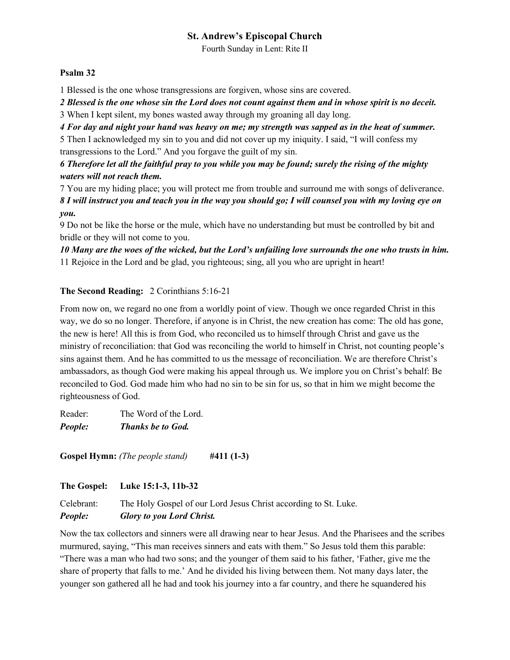Fourth Sunday in Lent: Rite II

#### **Psalm 32**

1 Blessed is the one whose transgressions are forgiven, whose sins are covered.

*2 Blessed is the one whose sin the Lord does not count against them and in whose spirit is no deceit.*

3 When I kept silent, my bones wasted away through my groaning all day long.

*4 For day and night your hand was heavy on me; my strength was sapped as in the heat of summer.*

5 Then I acknowledged my sin to you and did not cover up my iniquity. I said, "I will confess my transgressions to the Lord." And you forgave the guilt of my sin.

### *6 Therefore let all the faithful pray to you while you may be found; surely the rising of the mighty waters will not reach them.*

7 You are my hiding place; you will protect me from trouble and surround me with songs of deliverance. *8 I will instruct you and teach you in the way you should go; I will counsel you with my loving eye on you.*

9 Do not be like the horse or the mule, which have no understanding but must be controlled by bit and bridle or they will not come to you.

*10 Many are the woes of the wicked, but the Lord's unfailing love surrounds the one who trusts in him.* 11 Rejoice in the Lord and be glad, you righteous; sing, all you who are upright in heart!

### **The Second Reading:** 2 Corinthians 5:16-21

From now on, we regard no one from a worldly point of view. Though we once regarded Christ in this way, we do so no longer. Therefore, if anyone is in Christ, the new creation has come: The old has gone, the new is here! All this is from God, who reconciled us to himself through Christ and gave us the ministry of reconciliation: that God was reconciling the world to himself in Christ, not counting people's sins against them. And he has committed to us the message of reconciliation. We are therefore Christ's ambassadors, as though God were making his appeal through us. We implore you on Christ's behalf: Be reconciled to God. God made him who had no sin to be sin for us, so that in him we might become the righteousness of God.

Reader: The Word of the Lord. *People: Thanks be to God.*

**Gospel Hymn:** *(The people stand)* **#411 (1-3)**

**The Gospel: Luke 15:1-3, 11b-32**

Celebrant: The Holy Gospel of our Lord Jesus Christ according to St. Luke. *People: Glory to you Lord Christ.*

Now the tax collectors and sinners were all drawing near to hear Jesus. And the Pharisees and the scribes murmured, saying, "This man receives sinners and eats with them." So Jesus told them this parable: "There was a man who had two sons; and the younger of them said to his father, 'Father, give me the share of property that falls to me.' And he divided his living between them. Not many days later, the younger son gathered all he had and took his journey into a far country, and there he squandered his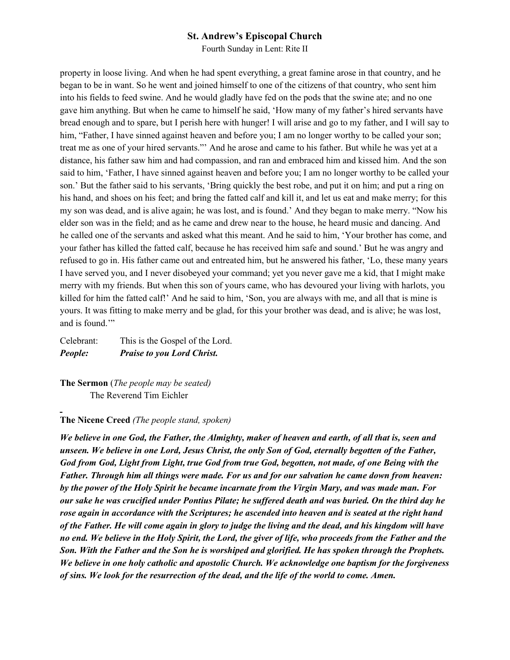Fourth Sunday in Lent: Rite II

property in loose living. And when he had spent everything, a great famine arose in that country, and he began to be in want. So he went and joined himself to one of the citizens of that country, who sent him into his fields to feed swine. And he would gladly have fed on the pods that the swine ate; and no one gave him anything. But when he came to himself he said, 'How many of my father's hired servants have bread enough and to spare, but I perish here with hunger! I will arise and go to my father, and I will say to him, "Father, I have sinned against heaven and before you; I am no longer worthy to be called your son; treat me as one of your hired servants."' And he arose and came to his father. But while he was yet at a distance, his father saw him and had compassion, and ran and embraced him and kissed him. And the son said to him, 'Father, I have sinned against heaven and before you; I am no longer worthy to be called your son.' But the father said to his servants, 'Bring quickly the best robe, and put it on him; and put a ring on his hand, and shoes on his feet; and bring the fatted calf and kill it, and let us eat and make merry; for this my son was dead, and is alive again; he was lost, and is found.' And they began to make merry. "Now his elder son was in the field; and as he came and drew near to the house, he heard music and dancing. And he called one of the servants and asked what this meant. And he said to him, 'Your brother has come, and your father has killed the fatted calf, because he has received him safe and sound.' But he was angry and refused to go in. His father came out and entreated him, but he answered his father, 'Lo, these many years I have served you, and I never disobeyed your command; yet you never gave me a kid, that I might make merry with my friends. But when this son of yours came, who has devoured your living with harlots, you killed for him the fatted calf!' And he said to him, 'Son, you are always with me, and all that is mine is yours. It was fitting to make merry and be glad, for this your brother was dead, and is alive; he was lost, and is found.'"

Celebrant: This is the Gospel of the Lord. *People: Praise to you Lord Christ.*

**The Sermon** (*The people may be seated)* The Reverend Tim Eichler

#### **The Nicene Creed** *(The people stand, spoken)*

*We believe in one God, the Father, the Almighty, maker of heaven and earth, of all that is, seen and unseen. We believe in one Lord, Jesus Christ, the only Son of God, eternally begotten of the Father, God from God, Light from Light, true God from true God, begotten, not made, of one Being with the Father. Through him all things were made. For us and for our salvation he came down from heaven: by the power of the Holy Spirit he became incarnate from the Virgin Mary, and was made man. For our sake he was crucified under Pontius Pilate; he suffered death and was buried. On the third day he rose again in accordance with the Scriptures; he ascended into heaven and is seated at the right hand of the Father. He will come again in glory to judge the living and the dead, and his kingdom will have no end. We believe in the Holy Spirit, the Lord, the giver of life, who proceeds from the Father and the Son. With the Father and the Son he is worshiped and glorified. He has spoken through the Prophets. We believe in one holy catholic and apostolic Church. We acknowledge one baptism for the forgiveness of sins. We look for the resurrection of the dead, and the life of the world to come. Amen.*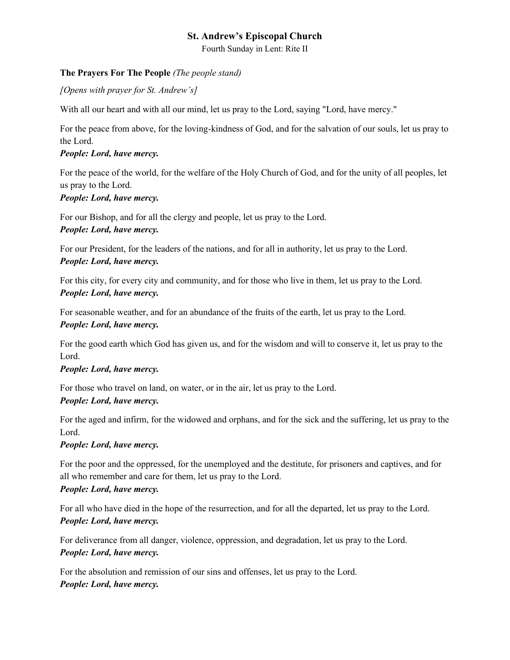Fourth Sunday in Lent: Rite II

### **The Prayers For The People** *(The people stand)*

*[Opens with prayer for St. Andrew's]*

With all our heart and with all our mind, let us pray to the Lord, saying "Lord, have mercy."

For the peace from above, for the loving-kindness of God, and for the salvation of our souls, let us pray to the Lord.

### *People: Lord, have mercy.*

For the peace of the world, for the welfare of the Holy Church of God, and for the unity of all peoples, let us pray to the Lord.

### *People: Lord, have mercy.*

For our Bishop, and for all the clergy and people, let us pray to the Lord. *People: Lord, have mercy.*

For our President, for the leaders of the nations, and for all in authority, let us pray to the Lord. *People: Lord, have mercy.*

For this city, for every city and community, and for those who live in them, let us pray to the Lord. *People: Lord, have mercy.*

For seasonable weather, and for an abundance of the fruits of the earth, let us pray to the Lord. *People: Lord, have mercy.*

For the good earth which God has given us, and for the wisdom and will to conserve it, let us pray to the Lord.

## *People: Lord, have mercy.*

For those who travel on land, on water, or in the air, let us pray to the Lord.

#### *People: Lord, have mercy.*

For the aged and infirm, for the widowed and orphans, and for the sick and the suffering, let us pray to the Lord.

## *People: Lord, have mercy.*

For the poor and the oppressed, for the unemployed and the destitute, for prisoners and captives, and for all who remember and care for them, let us pray to the Lord.

#### *People: Lord, have mercy.*

For all who have died in the hope of the resurrection, and for all the departed, let us pray to the Lord. *People: Lord, have mercy.*

For deliverance from all danger, violence, oppression, and degradation, let us pray to the Lord. *People: Lord, have mercy.*

For the absolution and remission of our sins and offenses, let us pray to the Lord. *People: Lord, have mercy.*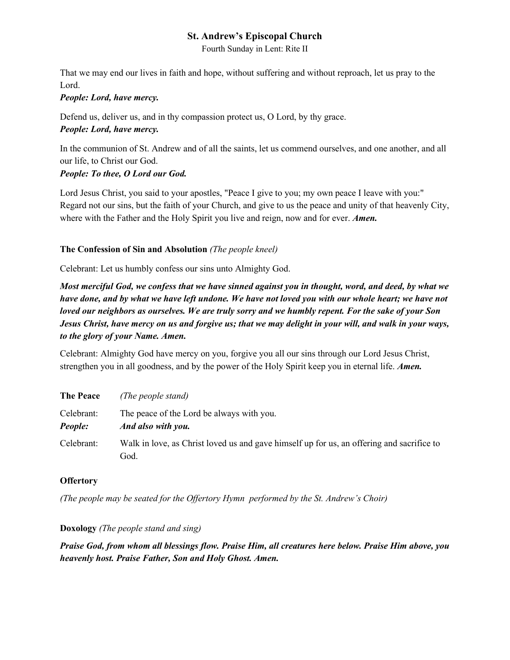Fourth Sunday in Lent: Rite II

That we may end our lives in faith and hope, without suffering and without reproach, let us pray to the Lord.

#### *People: Lord, have mercy.*

Defend us, deliver us, and in thy compassion protect us, O Lord, by thy grace. *People: Lord, have mercy.*

In the communion of St. Andrew and of all the saints, let us commend ourselves, and one another, and all our life, to Christ our God.

## *People: To thee, O Lord our God.*

Lord Jesus Christ, you said to your apostles, "Peace I give to you; my own peace I leave with you:" Regard not our sins, but the faith of your Church, and give to us the peace and unity of that heavenly City, where with the Father and the Holy Spirit you live and reign, now and for ever. *Amen.*

## **The Confession of Sin and Absolution** *(The people kneel)*

Celebrant: Let us humbly confess our sins unto Almighty God.

*Most merciful God, we confess that we have sinned against you in thought, word, and deed, by what we have done, and by what we have left undone. We have not loved you with our whole heart; we have not loved our neighbors as ourselves. We are truly sorry and we humbly repent. For the sake of your Son Jesus Christ, have mercy on us and forgive us; that we may delight in your will, and walk in your ways, to the glory of your Name. Amen.*

Celebrant: Almighty God have mercy on you, forgive you all our sins through our Lord Jesus Christ, strengthen you in all goodness, and by the power of the Holy Spirit keep you in eternal life. *Amen.*

| <b>The Peace</b>             | (The people stand)                                                                                |
|------------------------------|---------------------------------------------------------------------------------------------------|
| Celebrant:<br><b>People:</b> | The peace of the Lord be always with you.<br>And also with you.                                   |
| Celebrant:                   | Walk in love, as Christ loved us and gave himself up for us, an offering and sacrifice to<br>God. |

## **Offertory**

*(The people may be seated for the Offertory Hymn performed by the St. Andrew's Choir)*

## **Doxology** *(The people stand and sing)*

*Praise God, from whom all blessings flow. Praise Him, all creatures here below. Praise Him above, you heavenly host. Praise Father, Son and Holy Ghost. Amen.*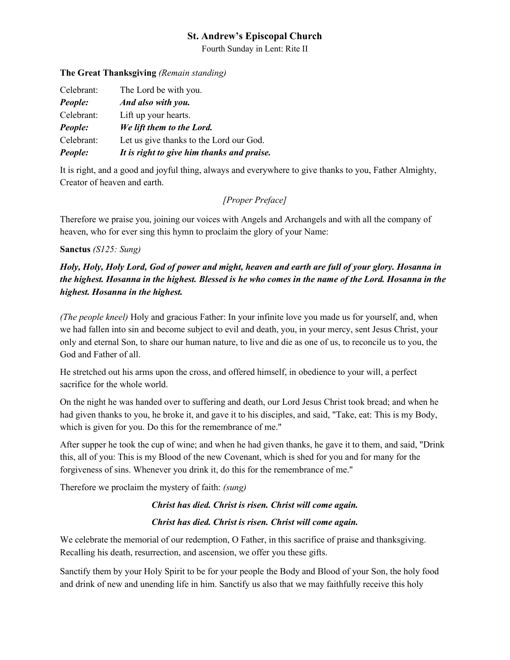Fourth Sunday in Lent: Rite II

#### **The Great Thanksgiving** *(Remain standing)*

| It is right to give him thanks and praise. |
|--------------------------------------------|
| Let us give thanks to the Lord our God.    |
| We lift them to the Lord.                  |
| Lift up your hearts.                       |
| And also with you.                         |
| The Lord be with you.                      |
|                                            |

It is right, and a good and joyful thing, always and everywhere to give thanks to you, Father Almighty, Creator of heaven and earth.

### *[Proper Preface]*

Therefore we praise you, joining our voices with Angels and Archangels and with all the company of heaven, who for ever sing this hymn to proclaim the glory of your Name:

#### **Sanctus** *(S125: Sung)*

## *Holy, Holy, Holy Lord, God of power and might, heaven and earth are full of your glory. Hosanna in the highest. Hosanna in the highest. Blessed is he who comes in the name of the Lord. Hosanna in the highest. Hosanna in the highest.*

*(The people kneel)* Holy and gracious Father: In your infinite love you made us for yourself, and, when we had fallen into sin and become subject to evil and death, you, in your mercy, sent Jesus Christ, your only and eternal Son, to share our human nature, to live and die as one of us, to reconcile us to you, the God and Father of all.

He stretched out his arms upon the cross, and offered himself, in obedience to your will, a perfect sacrifice for the whole world.

On the night he was handed over to suffering and death, our Lord Jesus Christ took bread; and when he had given thanks to you, he broke it, and gave it to his disciples, and said, "Take, eat: This is my Body, which is given for you. Do this for the remembrance of me."

After supper he took the cup of wine; and when he had given thanks, he gave it to them, and said, "Drink this, all of you: This is my Blood of the new Covenant, which is shed for you and for many for the forgiveness of sins. Whenever you drink it, do this for the remembrance of me."

Therefore we proclaim the mystery of faith: *(sung)*

# *Christ has died. Christ is risen. Christ will come again.*

## *Christ has died. Christ is risen. Christ will come again.*

We celebrate the memorial of our redemption, O Father, in this sacrifice of praise and thanksgiving. Recalling his death, resurrection, and ascension, we offer you these gifts.

Sanctify them by your Holy Spirit to be for your people the Body and Blood of your Son, the holy food and drink of new and unending life in him. Sanctify us also that we may faithfully receive this holy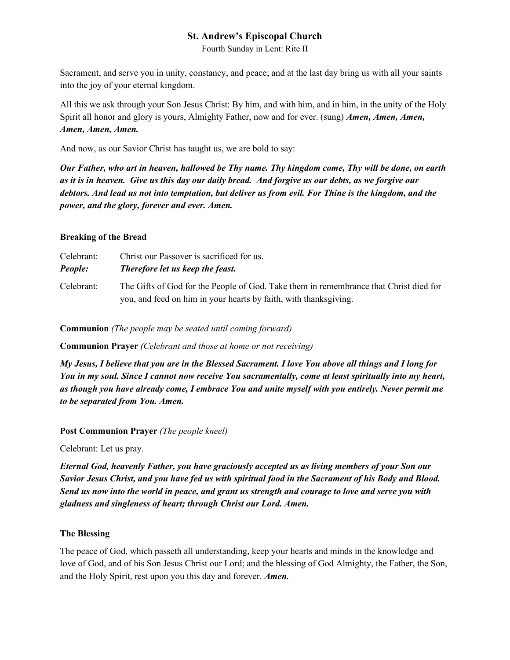Fourth Sunday in Lent: Rite II

Sacrament, and serve you in unity, constancy, and peace; and at the last day bring us with all your saints into the joy of your eternal kingdom.

All this we ask through your Son Jesus Christ: By him, and with him, and in him, in the unity of the Holy Spirit all honor and glory is yours, Almighty Father, now and for ever. (sung) *Amen, Amen, Amen, Amen, Amen, Amen.*

And now, as our Savior Christ has taught us, we are bold to say:

*Our Father, who art in heaven, hallowed be Thy name. Thy kingdom come, Thy will be done, on earth as it is in heaven. Give us this day our daily bread. And forgive us our debts, as we forgive our debtors. And lead us not into temptation, but deliver us from evil. For Thine is the kingdom, and the power, and the glory, forever and ever. Amen.*

#### **Breaking of the Bread**

| Celebrant: | Christ our Passover is sacrificed for us.                                                                                                                 |
|------------|-----------------------------------------------------------------------------------------------------------------------------------------------------------|
| People:    | Therefore let us keep the feast.                                                                                                                          |
| Celebrant: | The Gifts of God for the People of God. Take them in remembrance that Christ died for<br>you, and feed on him in your hearts by faith, with thanksgiving. |

**Communion** *(The people may be seated until coming forward)*

**Communion Prayer** *(Celebrant and those at home or not receiving)*

*My Jesus, I believe that you are in the Blessed Sacrament. I love You above all things and I long for You in my soul. Since I cannot now receive You sacramentally, come at least spiritually into my heart, as though you have already come, I embrace You and unite myself with you entirely. Never permit me to be separated from You. Amen.*

**Post Communion Prayer** *(The people kneel)*

Celebrant: Let us pray.

*Eternal God, heavenly Father, you have graciously accepted us as living members of your Son our Savior Jesus Christ, and you have fed us with spiritual food in the Sacrament of his Body and Blood. Send us now into the world in peace, and grant us strength and courage to love and serve you with gladness and singleness of heart; through Christ our Lord. Amen.*

#### **The Blessing**

The peace of God, which passeth all understanding, keep your hearts and minds in the knowledge and love of God, and of his Son Jesus Christ our Lord; and the blessing of God Almighty, the Father, the Son, and the Holy Spirit, rest upon you this day and forever. *Amen.*